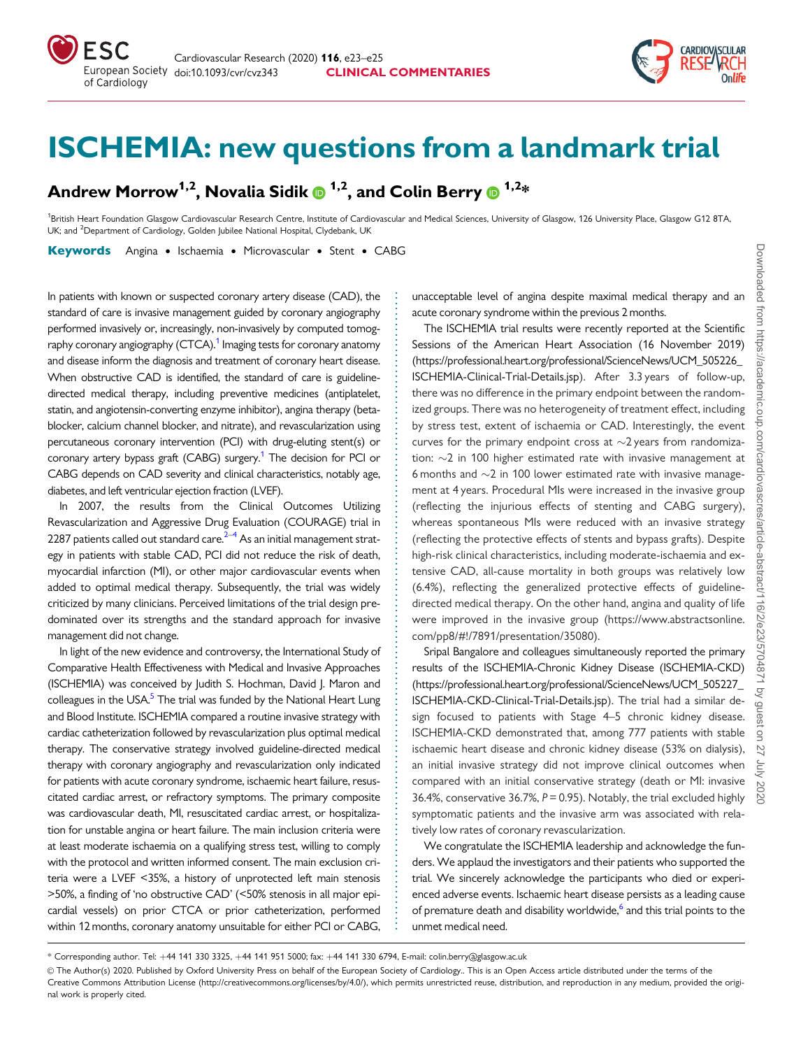<span id="page-0-0"></span>

Andrew Morrow<sup>1,2</sup>, Novalia Sidik  $\mathbf{D}^{1,2}$ , and Colin Berry  $\mathbf{D}^{1,2}$ \*

<sup>1</sup>British Heart Foundation Glasgow Cardiovascular Research Centre, Institute of Cardiovascular and Medical Sciences, University of Glasgow, 126 University Place, Glasgow G12 8TA UK; and <sup>2</sup>Department of Cardiology, Golden Jubilee National Hospital, Clydebank, UK

Keywords Angina • Ischaemia • Microvascular • Stent • CABG

In patients with known or suspected coronary artery disease (CAD), the standard of care is invasive management guided by coronary angiography performed invasively or, increasingly, non-invasively by computed tomography coronary angiography (CTCA).<sup>1</sup> Imaging tests for coronary anatomy and disease inform the diagnosis and treatment of coronary heart disease. When obstructive CAD is identified, the standard of care is guidelinedirected medical therapy, including preventive medicines (antiplatelet, statin, and angiotensin-converting enzyme inhibitor), angina therapy (betablocker, calcium channel blocker, and nitrate), and revascularization using percutaneous coronary intervention (PCI) with drug-eluting stent(s) or coronary artery bypass graft (CABG) surgery.<sup>1</sup> The decision for PCI or CABG depends on CAD severity and clinical characteristics, notably age, diabetes, and left ventricular ejection fraction (LVEF).

In 2007, the results from the Clinical Outcomes Utilizing Revascularization and Aggressive Drug Evaluation (COURAGE) trial in 2287 patients called out standard care. $2-4$  As an initial management strategy in patients with stable CAD, PCI did not reduce the risk of death, myocardial infarction (MI), or other major cardiovascular events when added to optimal medical therapy. Subsequently, the trial was widely criticized by many clinicians. Perceived limitations of the trial design predominated over its strengths and the standard approach for invasive management did not change.

In light of the new evidence and controversy, the International Study of Comparative Health Effectiveness with Medical and Invasive Approaches (ISCHEMIA) was conceived by Judith S. Hochman, David J. Maron and colleagues in the USA. $<sup>5</sup>$  $<sup>5</sup>$  $<sup>5</sup>$  The trial was funded by the National Heart Lung</sup> and Blood Institute. ISCHEMIA compared a routine invasive strategy with cardiac catheterization followed by revascularization plus optimal medical therapy. The conservative strategy involved guideline-directed medical therapy with coronary angiography and revascularization only indicated for patients with acute coronary syndrome, ischaemic heart failure, resuscitated cardiac arrest, or refractory symptoms. The primary composite was cardiovascular death, MI, resuscitated cardiac arrest, or hospitalization for unstable angina or heart failure. The main inclusion criteria were at least moderate ischaemia on a qualifying stress test, willing to comply with the protocol and written informed consent. The main exclusion criteria were a LVEF <35%, a history of unprotected left main stenosis >50%, a finding of 'no obstructive CAD' (<50% stenosis in all major epicardial vessels) on prior CTCA or prior catheterization, performed within 12 months, coronary anatomy unsuitable for either PCI or CABG,

unacceptable level of angina despite maximal medical therapy and an acute coronary syndrome within the previous 2 months.

The ISCHEMIA trial results were recently reported at the Scientific Sessions of the American Heart Association (16 November 2019) ([https://professional.heart.org/professional/ScienceNews/UCM\\_505226\\_](https://professional.heart.org/professional/ScienceNews/UCM_505226_ISCHEMIA-Clinical-Trial-Details.jsp) [ISCHEMIA-Clinical-Trial-Details.jsp\)](https://professional.heart.org/professional/ScienceNews/UCM_505226_ISCHEMIA-Clinical-Trial-Details.jsp). After 3.3 years of follow-up, there was no difference in the primary endpoint between the randomized groups. There was no heterogeneity of treatment effect, including by stress test, extent of ischaemia or CAD. Interestingly, the event curves for the primary endpoint cross at  $\sim$ 2 years from randomization:  $\sim$ 2 in 100 higher estimated rate with invasive management at 6 months and  $\sim$ 2 in 100 lower estimated rate with invasive management at 4 years. Procedural MIs were increased in the invasive group (reflecting the injurious effects of stenting and CABG surgery), whereas spontaneous MIs were reduced with an invasive strategy (reflecting the protective effects of stents and bypass grafts). Despite high-risk clinical characteristics, including moderate-ischaemia and extensive CAD, all-cause mortality in both groups was relatively low (6.4%), reflecting the generalized protective effects of guidelinedirected medical therapy. On the other hand, angina and quality of life were improved in the invasive group [\(https://www.abstractsonline.](https://www.abstractsonline.com/pp8/#&hx0026;excl;/7891/presentation/35080) [com/pp8/#!/7891/presentation/35080](https://www.abstractsonline.com/pp8/#&hx0026;excl;/7891/presentation/35080)).

Sripal Bangalore and colleagues simultaneously reported the primary results of the ISCHEMIA-Chronic Kidney Disease (ISCHEMIA-CKD) ([https://professional.heart.org/professional/ScienceNews/UCM\\_505227\\_](https://professional.heart.org/professional/ScienceNews/UCM_505227_ISCHEMIA-CKD-Clinical-Trial-Details.jsp) [ISCHEMIA-CKD-Clinical-Trial-Details.jsp\)](https://professional.heart.org/professional/ScienceNews/UCM_505227_ISCHEMIA-CKD-Clinical-Trial-Details.jsp). The trial had a similar design focused to patients with Stage 4–5 chronic kidney disease. ISCHEMIA-CKD demonstrated that, among 777 patients with stable ischaemic heart disease and chronic kidney disease (53% on dialysis), an initial invasive strategy did not improve clinical outcomes when compared with an initial conservative strategy (death or MI: invasive 36.4%, conservative 36.7%,  $P = 0.95$ ). Notably, the trial excluded highly symptomatic patients and the invasive arm was associated with relatively low rates of coronary revascularization.

We congratulate the ISCHEMIA leadership and acknowledge the funders. We applaud the investigators and their patients who supported the trial. We sincerely acknowledge the participants who died or experienced adverse events. Ischaemic heart disease persists as a leading cause of premature death and disability worldwide,<sup>[6](#page-1-0)</sup> and this trial points to the unmet medical need.

. . . . . . . . . . . . . . . . . . . . . . . . . . . . . . . . . . . . . . . . . . . . . . . . . . . . . . . . . . . . . . . . . . . . . . . . . . . . . . . . . . . . . . . . . . . . . . . . . . . . . . . . . . . . . . . . . . . . . . . . . . . **CARDIOVÁSCULAI** 

<sup>\*</sup> Corresponding author. Tel: +44 141 330 3325, +44 141 951 5000; fax: +44 141 330 6794, E-mail: colin.berry@glasgow.ac.uk

V<sup>C</sup> The Author(s) 2020. Published by Oxford University Press on behalf of the European Society of Cardiology.. This is an Open Access article distributed under the terms of the Creative Commons Attribution License (http://creativecommons.org/licenses/by/4.0/), which permits unrestricted reuse, distribution, and reproduction in any medium, provided the original work is properly cited.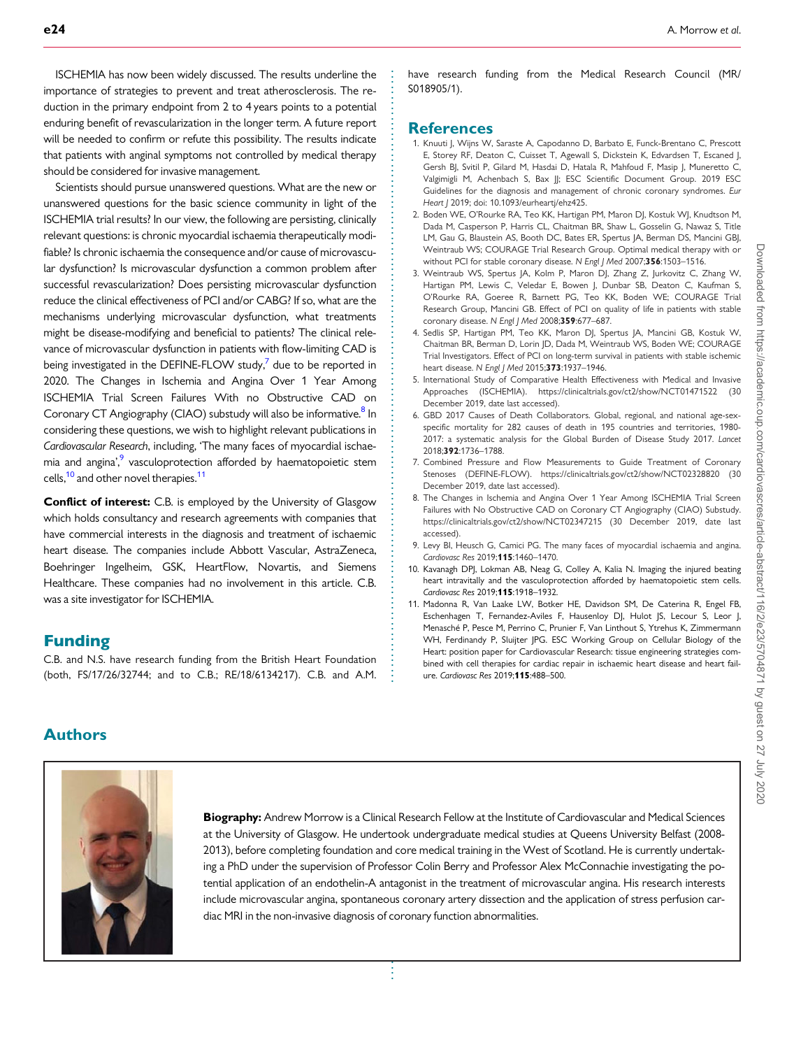<span id="page-1-0"></span>ISCHEMIA has now been widely discussed. The results underline the importance of strategies to prevent and treat atherosclerosis. The reduction in the primary endpoint from 2 to 4 years points to a potential enduring benefit of revascularization in the longer term. A future report will be needed to confirm or refute this possibility. The results indicate that patients with anginal symptoms not controlled by medical therapy should be considered for invasive management.

Scientists should pursue unanswered questions. What are the new or unanswered questions for the basic science community in light of the ISCHEMIA trial results? In our view, the following are persisting, clinically relevant questions: is chronic myocardial ischaemia therapeutically modifiable? Is chronic ischaemia the consequence and/or cause of microvascular dysfunction? Is microvascular dysfunction a common problem after successful revascularization? Does persisting microvascular dysfunction reduce the clinical effectiveness of PCI and/or CABG? If so, what are the mechanisms underlying microvascular dysfunction, what treatments might be disease-modifying and beneficial to patients? The clinical relevance of microvascular dysfunction in patients with flow-limiting CAD is being investigated in the DEFINE-FLOW study, $7$  due to be reported in 2020. The Changes in Ischemia and Angina Over 1 Year Among ISCHEMIA Trial Screen Failures With no Obstructive CAD on Coronary CT Angiography (CIAO) substudy will also be informative.<sup>8</sup> In considering these questions, we wish to highlight relevant publications in Cardiovascular Research, including, 'The many faces of myocardial ischaemia and angina',<sup>9</sup> vasculoprotection afforded by haematopoietic stem cells,<sup>10</sup> and other novel therapies.<sup>11</sup>

**Conflict of interest:** C.B. is employed by the University of Glasgow which holds consultancy and research agreements with companies that have commercial interests in the diagnosis and treatment of ischaemic heart disease. The companies include Abbott Vascular, AstraZeneca, Boehringer Ingelheim, GSK, HeartFlow, Novartis, and Siemens Healthcare. These companies had no involvement in this article. C.B. was a site investigator for ISCHEMIA.

## Funding

Authors

C.B. and N.S. have research funding from the British Heart Foundation (both, FS/17/26/32744; and to C.B.; RE/18/6134217). C.B. and A.M. have research funding from the Medical Research Council (MR/ S018905/1).

## **References**

- [1.](#page-0-0) Knuuti J, Wijns W, Saraste A, Capodanno D, Barbato E, Funck-Brentano C, Prescott E, Storey RF, Deaton C, Cuisset T, Agewall S, Dickstein K, Edvardsen T, Escaned J, Gersh BJ, Svitil P, Gilard M, Hasdai D, Hatala R, Mahfoud F, Masip J, Muneretto C, Valgimigli M, Achenbach S, Bax JJ; ESC Scientific Document Group. 2019 ESC Guidelines for the diagnosis and management of chronic coronary syndromes. Eur Heart J 2019; doi: 10.1093/eurheartj/ehz425.
- 2. Boden WE, O'Rourke RA, Teo KK, Hartigan PM, Maron DJ, Kostuk WJ, Knudtson M, Dada M, Casperson P, Harris CL, Chaitman BR, Shaw L, Gosselin G, Nawaz S, Title LM, Gau G, Blaustein AS, Booth DC, Bates ER, Spertus JA, Berman DS, Mancini GBJ, Weintraub WS; COURAGE Trial Research Group. Optimal medical therapy with or without PCI for stable coronary disease. N Engl J Med 2007;356:1503-1516.
- 3. Weintraub WS, Spertus JA, Kolm P, Maron DJ, Zhang Z, Jurkovitz C, Zhang W, Hartigan PM, Lewis C, Veledar E, Bowen J, Dunbar SB, Deaton C, Kaufman S, O'Rourke RA, Goeree R, Barnett PG, Teo KK, Boden WE; COURAGE Trial Research Group, Mancini GB. Effect of PCI on quality of life in patients with stable coronary disease. N Engl J Med 2008;359:677-687.
- 4. Sedlis SP, Hartigan PM, Teo KK, Maron DJ, Spertus JA, Mancini GB, Kostuk W, Chaitman BR, Berman D, Lorin JD, Dada M, Weintraub WS, Boden WE; COURAGE Trial Investigators. Effect of PCI on long-term survival in patients with stable ischemic heart disease. N Engl J Med 2015;373:1937-1946.
- [5.](#page-0-0) International Study of Comparative Health Effectiveness with Medical and Invasive Approaches (ISCHEMIA).<https://clinicaltrials.gov/ct2/show/NCT01471522> (30 December 2019, date last accessed).
- [6.](#page-0-0) GBD 2017 Causes of Death Collaborators. Global, regional, and national age-sexspecific mortality for 282 causes of death in 195 countries and territories, 1980- 2017: a systematic analysis for the Global Burden of Disease Study 2017. Lancet 2018;392:1736–1788.
- 7. Combined Pressure and Flow Measurements to Guide Treatment of Coronary Stenoses (DEFINE-FLOW).<https://clinicaltrials.gov/ct2/show/NCT02328820> (30 December 2019, date last accessed).
- 8. The Changes in Ischemia and Angina Over 1 Year Among ISCHEMIA Trial Screen Failures with No Obstructive CAD on Coronary CT Angiography (CIAO) Substudy. <https://clinicaltrials.gov/ct2/show/NCT02347215> (30 December 2019, date last accessed).
- 9. Levy BI, Heusch G, Camici PG. The many faces of myocardial ischaemia and angina. Cardiovasc Res 2019;115:1460–1470.
- 10. Kavanagh DPJ, Lokman AB, Neag G, Colley A, Kalia N. Imaging the injured beating heart intravitally and the vasculoprotection afforded by haematopoietic stem cells. Cardiovasc Res 2019;115:1918–1932.
- 11. Madonna R, Van Laake LW, Botker HE, Davidson SM, De Caterina R, Engel FB, Eschenhagen T, Fernandez-Aviles F, Hausenloy DJ, Hulot JS, Lecour S, Leor J, Menasché P, Pesce M, Perrino C, Prunier F, Van Linthout S, Ytrehus K, Zimmermann WH, Ferdinandy P, Sluijter JPG. ESC Working Group on Cellular Biology of the Heart: position paper for Cardiovascular Research: tissue engineering strategies combined with cell therapies for cardiac repair in ischaemic heart disease and heart failure. Cardiovasc Res 2019;115:488–500.



Biography: Andrew Morrow is a Clinical Research Fellow at the Institute of Cardiovascular and Medical Sciences at the University of Glasgow. He undertook undergraduate medical studies at Queens University Belfast (2008- 2013), before completing foundation and core medical training in the West of Scotland. He is currently undertaking a PhD under the supervision of Professor Colin Berry and Professor Alex McConnachie investigating the potential application of an endothelin-A antagonist in the treatment of microvascular angina. His research interests include microvascular angina, spontaneous coronary artery dissection and the application of stress perfusion cardiac MRI in the non-invasive diagnosis of coronary function abnormalities.

. . . . . . . . . . . . . . . . . . . . . . . . . . . . . . . . . . . . . . . . . . . . . . . . . . . . . . . . . . . . . . . . . . . . . . . . . . . . . . . . . . . . . . . . . . . . . . . . . . . . . . . . . . . . . . . . . . . . . .